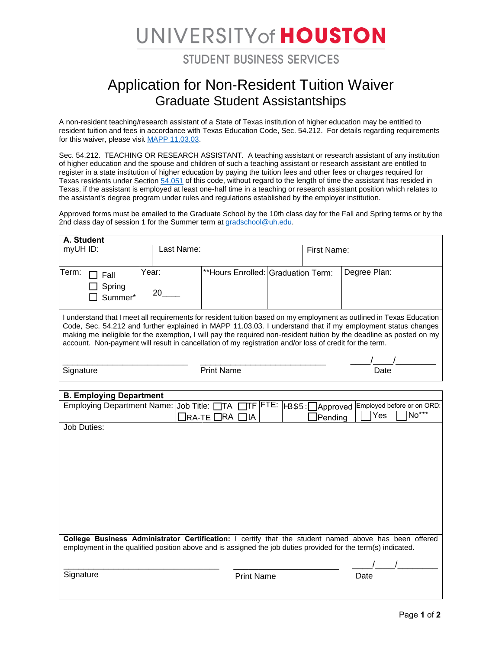## UNIVERSITY of HOUSTON

**STUDENT BUSINESS SERVICES** 

## Application for Non-Resident Tuition Waiver Graduate Student Assistantships

A non-resident teaching/research assistant of a State of Texas institution of higher education may be entitled to resident tuition and fees in accordance with Texas Education Code, Sec. 54.212. For details regarding requirements for this waiver, please visit [MAPP 11.03.03.](http://www.uh.edu/af/universityservices/policies/mapp/11/110303.pdf)

Sec. 54.212. TEACHING OR RESEARCH ASSISTANT. A teaching assistant or research assistant of any institution of higher education and the spouse and children of such a teaching assistant or research assistant are entitled to register in a state institution of higher education by paying the tuition fees and other fees or charges required for Texas residents under Section [54.051](http://www.statutes.legis.state.tx.us/GetStatute.aspx?Code=ED&Value=54.051) of this code, without regard to the length of time the assistant has resided in Texas, if the assistant is employed at least one-half time in a teaching or research assistant position which relates to the assistant's degree program under rules and regulations established by the employer institution.

Approved forms must be emailed to the Graduate School by the 10th class day for the Fall and Spring terms or by the 2nd class day of session 1 for the Summer term at [gradschool@uh.edu.](mailto:gradschool@uh.edu)

| A. Student                                                                                                                                                                                                                      |       |            |                                    |  |             |              |  |  |
|---------------------------------------------------------------------------------------------------------------------------------------------------------------------------------------------------------------------------------|-------|------------|------------------------------------|--|-------------|--------------|--|--|
| myUH ID:                                                                                                                                                                                                                        |       | Last Name: |                                    |  | First Name: |              |  |  |
|                                                                                                                                                                                                                                 |       |            |                                    |  |             |              |  |  |
| Term:<br>Fall                                                                                                                                                                                                                   | Year: |            | **Hours Enrolled: Graduation Term: |  |             | Degree Plan: |  |  |
| Spring                                                                                                                                                                                                                          |       |            |                                    |  |             |              |  |  |
| Summer*                                                                                                                                                                                                                         | 20    |            |                                    |  |             |              |  |  |
|                                                                                                                                                                                                                                 |       |            |                                    |  |             |              |  |  |
| I understand that I meet all requirements for resident tuition based on my employment as outlined in Texas Education                                                                                                            |       |            |                                    |  |             |              |  |  |
| Code, Sec. 54.212 and further explained in MAPP 11.03.03. I understand that if my employment status changes                                                                                                                     |       |            |                                    |  |             |              |  |  |
| making me ineligible for the exemption, I will pay the required non-resident tuition by the deadline as posted on my<br>account. Non-payment will result in cancellation of my registration and/or loss of credit for the term. |       |            |                                    |  |             |              |  |  |
|                                                                                                                                                                                                                                 |       |            |                                    |  |             |              |  |  |
|                                                                                                                                                                                                                                 |       |            |                                    |  |             |              |  |  |
| Signature                                                                                                                                                                                                                       |       |            | <b>Print Name</b>                  |  |             | Date         |  |  |

| <b>B. Employing Department</b>                                                                                |                                  |                           |  |  |  |  |
|---------------------------------------------------------------------------------------------------------------|----------------------------------|---------------------------|--|--|--|--|
| Employing Department Name: Job Title: TTA TTF FTE:   VÚCEU: Approved Employed before or on ORD:               |                                  |                           |  |  |  |  |
|                                                                                                               | $\Box$ ra-te $\Box$ ra $\Box$ ia | $No***$<br>Yes<br>Pending |  |  |  |  |
| Job Duties:                                                                                                   |                                  |                           |  |  |  |  |
|                                                                                                               |                                  |                           |  |  |  |  |
|                                                                                                               |                                  |                           |  |  |  |  |
|                                                                                                               |                                  |                           |  |  |  |  |
|                                                                                                               |                                  |                           |  |  |  |  |
|                                                                                                               |                                  |                           |  |  |  |  |
|                                                                                                               |                                  |                           |  |  |  |  |
|                                                                                                               |                                  |                           |  |  |  |  |
|                                                                                                               |                                  |                           |  |  |  |  |
|                                                                                                               |                                  |                           |  |  |  |  |
|                                                                                                               |                                  |                           |  |  |  |  |
| College Business Administrator Certification: I certify that the student named above has been offered         |                                  |                           |  |  |  |  |
| employment in the qualified position above and is assigned the job duties provided for the term(s) indicated. |                                  |                           |  |  |  |  |
|                                                                                                               |                                  |                           |  |  |  |  |
| Signature                                                                                                     | <b>Print Name</b>                | Date                      |  |  |  |  |
|                                                                                                               |                                  |                           |  |  |  |  |